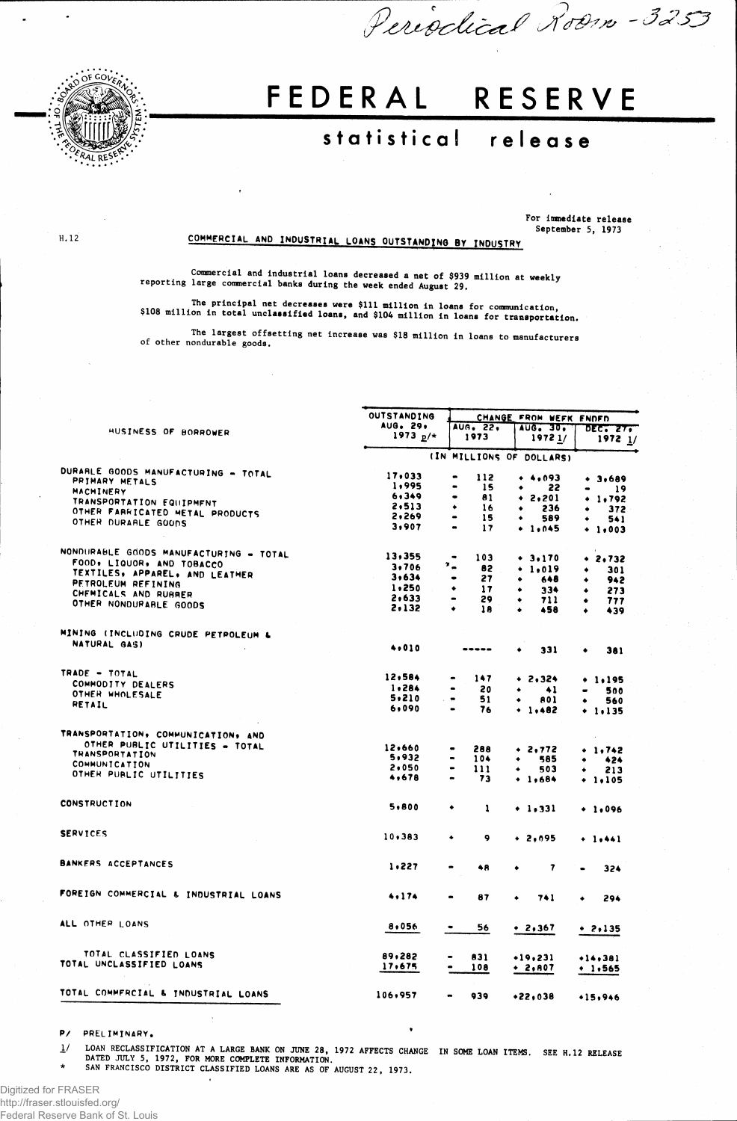

 $H.12$ 

## FEDERAL RESERVE

## statistical release

For immediate release<br>September 5, 1973

Periodical Room - 3253

## COMMERCIAL AND INDUSTRIAL LOANS OUTSTANDING BY INDUSTRY

Commercial and industrial loans decreased a net of \$939 million at weekly<br>reporting large commercial banks during the week ended August 29.

The principal net decreases were \$111 million in loans for communication,<br>\$108 million in total unclassified loans, and \$104 million in loans for transportation.

The largest offsetting net increase was \$18 million in loans to manufacturers of other nondurable goods.

|                                        | OUTSTANDING              | CHANGE FROM WEFK ENDED                                       |                        |                        |  |  |  |  |
|----------------------------------------|--------------------------|--------------------------------------------------------------|------------------------|------------------------|--|--|--|--|
|                                        | AUG. 29.                 | AUG. 22.                                                     | AUG. 30.               | <b>DEC. 27.</b>        |  |  |  |  |
| HUSINESS OF BORROWER                   | 1973 $p/*$               | 1973                                                         | 19721/                 | $1972 \frac{1}{2}$     |  |  |  |  |
|                                        | (IN MILLIONS OF DOLLARS) |                                                              |                        |                        |  |  |  |  |
| DURARLE GOODS MANUFACTURING - TOTAL    | 17,033                   | 112<br>$\bullet$                                             | $+ 4,093$              | $+ 3,689$              |  |  |  |  |
| PRIMARY METALS                         | 1,995                    | 15<br>$\bullet$                                              | 22                     | 19                     |  |  |  |  |
| MACHINERY                              | 6,349                    | 81<br>$\bullet$                                              | 2,201<br>٠             | $+ 1.792$              |  |  |  |  |
| TRANSPORTATION EQUIPMENT               | 2,513                    | ٠<br>16                                                      | 236<br>٠               | 372                    |  |  |  |  |
| OTHER FARRICATED METAL PRODUCTS        | 2,269                    | $\bullet$<br>15                                              | 589                    | 541                    |  |  |  |  |
| OTHER DURARLE GOODS                    | 3,907                    | $\blacksquare$<br>17                                         | $+ 1.045$              | $+ 1.003$              |  |  |  |  |
| NONDURABLE GOODS MANUFACTURING - TOTAL | 13,355                   | 103<br>$\bullet$                                             |                        |                        |  |  |  |  |
| FOOD, LIQUOR, AND TOBACCO              |                          | ".                                                           | $+ 3.170$              | .2,732                 |  |  |  |  |
| TEXTILES, APPAREL, AND LEATHER         | 3,706                    | 82                                                           | 1,019                  | 301<br>٠               |  |  |  |  |
| PETROLEUM REFINING                     | 3,634                    | 27<br>$\qquad \qquad \bullet$                                | 648<br>۰               | 942                    |  |  |  |  |
| CHEMICALS AND RUBBER                   | 1,250                    | ٠<br>17                                                      | 334<br>٠               | 273<br>٠               |  |  |  |  |
| OTHER NONDURABLE GOODS                 | 2,633                    | 29                                                           | 711<br>۰               | 777<br>۰               |  |  |  |  |
|                                        | 2,132                    | ٠<br>18                                                      | 458<br>۰               | 439<br>$\bullet$       |  |  |  |  |
| MINING (INCLUDING CRUDE PETROLEUM &    |                          |                                                              |                        |                        |  |  |  |  |
| NATURAL GASI                           | 4,010                    | -----                                                        | 331<br>٠               | 381<br>٠               |  |  |  |  |
| TRADE - TOTAL                          | 12,584                   | 147                                                          | $+ 2.324$              |                        |  |  |  |  |
| COMMODITY DEALERS                      | 1,284                    | 20<br>$\blacksquare$                                         |                        | $+ 1.195$              |  |  |  |  |
| OTHER WHOLESALE                        | 5,210                    |                                                              | $^{\tiny{41}}$<br>٠    | 500<br>$\bullet$       |  |  |  |  |
| RETAIL                                 | 6,090                    | $\sim$ $\bullet$<br>51<br>76<br>$\qquad \qquad \blacksquare$ | 801<br>$+ 1.482$       | 560<br>٠<br>$+ 1.135$  |  |  |  |  |
| TRANSPORTATION, COMMUNICATION, AND     |                          |                                                              |                        |                        |  |  |  |  |
| OTHER PUBLIC UTILITIES - TOTAL         |                          |                                                              |                        |                        |  |  |  |  |
| <b>THANSPORTATION</b>                  | 12,660                   | 288                                                          | + 2,772                | $+ 1.742$              |  |  |  |  |
| <b>COMMUNICATION</b>                   | 5,932                    | 104                                                          | 585                    | 424                    |  |  |  |  |
|                                        | 2,050                    | 111                                                          | 503                    | 213                    |  |  |  |  |
| OTHER PUBLIC UTILITIES                 | 4,678                    | 73                                                           | $+1,684$               | $+ 1.105$              |  |  |  |  |
| <b>CONSTRUCTION</b>                    | 5,800                    | ٠<br>1                                                       | $+1.331$               | $+ 1.096$              |  |  |  |  |
| <b>SERVICES</b>                        | 10,383                   | 9<br>٠                                                       | $+ 2,095$              | $+ 1.441$              |  |  |  |  |
|                                        |                          |                                                              |                        |                        |  |  |  |  |
| <b>BANKERS ACCEPTANCES</b>             | 1,227                    | 48                                                           | 7                      | 324                    |  |  |  |  |
| FOREIGN COMMERCIAL & INDUSTRIAL LOANS  | 4.174                    | 87<br>$\bullet$                                              | 741<br>$\bullet$       | 294                    |  |  |  |  |
| ALL OTHER LOANS                        | 8,056                    | 56                                                           | + 2,367                | $+ 2,135$              |  |  |  |  |
| TOTAL CLASSIFIED LOANS                 |                          |                                                              |                        |                        |  |  |  |  |
| TOTAL UNCLASSIFIED LOANS               | 89,282<br>17,675         | 831<br>108<br>$\bullet$                                      | $+19.231$<br>$+ 2,007$ | $+14,381$<br>$+ 1.565$ |  |  |  |  |
|                                        |                          |                                                              |                        |                        |  |  |  |  |
| TOTAL COMMFRCIAL & INDUSTRIAL LOANS    | 106,957                  | 939                                                          | $*22.038$              | +15,946                |  |  |  |  |

 $P/$ PRELIMINARY.

LOAN RECLASSIFICATION AT A LARGE BANK ON JUNE 28, 1972 AFFECTS CHANGE IN SOME LOAN ITEMS. SEE H.12 RELEASE<br>DATED JULY 5, 1972, FOR MORE COMPLETE INFORMATION.<br>SAN FRANCISCO DISTRICT CLASSIFIED LOANS ARE AS OF AUGUST 22, 197  $\frac{1}{2}$ 

Digitized for FRASER http://fraser.stlouisfed.org/ Federal Reserve Bank of St. Louis